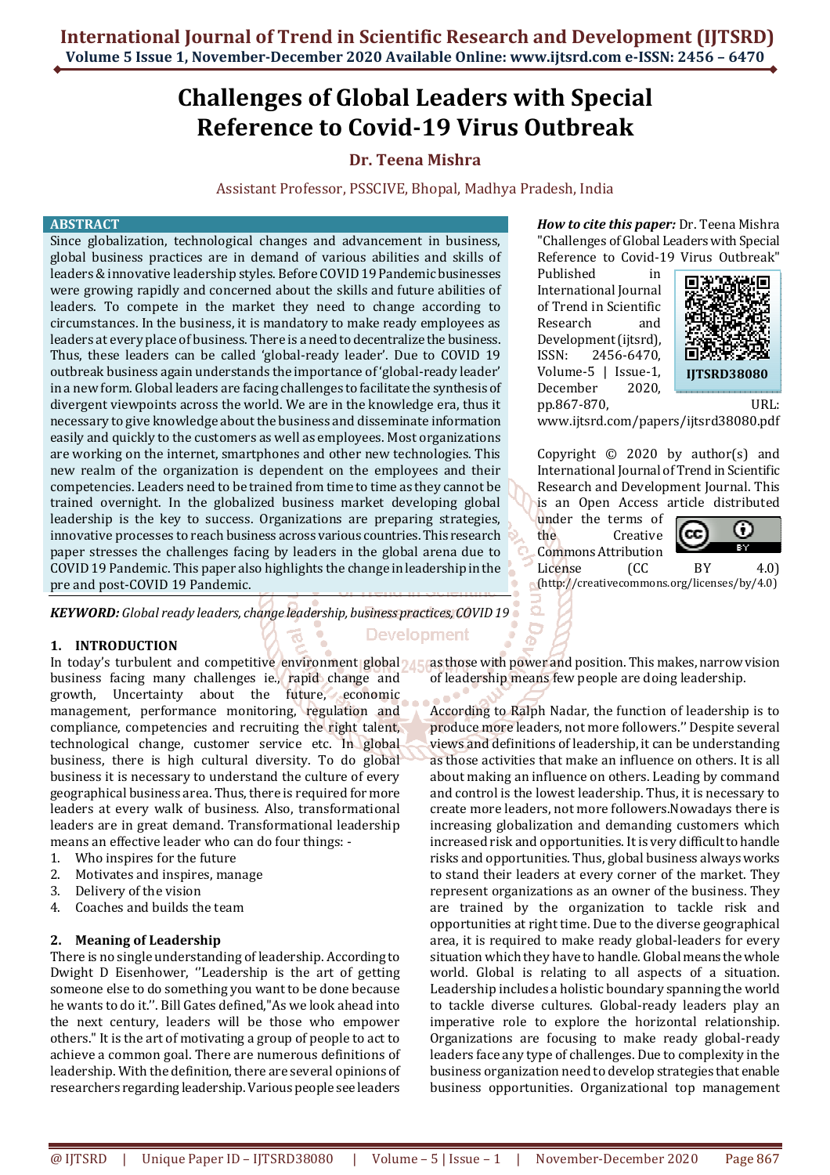# **Challenges of Global Leaders with Special Reference to Covid-19 Virus Outbreak**

# **Dr. Teena Mishra**

Assistant Professor, PSSCIVE, Bhopal, Madhya Pradesh, India

**Development** 

#### **ABSTRACT**

Since globalization, technological changes and advancement in business, global business practices are in demand of various abilities and skills of leaders & innovative leadership styles. Before COVID 19 Pandemic businesses were growing rapidly and concerned about the skills and future abilities of leaders. To compete in the market they need to change according to circumstances. In the business, it is mandatory to make ready employees as leaders at every place of business. There is a need to decentralize the business. Thus, these leaders can be called 'global-ready leader'. Due to COVID 19 outbreak business again understands the importance of 'global-ready leader' in a new form. Global leaders are facing challenges to facilitate the synthesis of divergent viewpoints across the world. We are in the knowledge era, thus it necessary to give knowledge about the business and disseminate information easily and quickly to the customers as well as employees. Most organizations are working on the internet, smartphones and other new technologies. This new realm of the organization is dependent on the employees and their competencies. Leaders need to be trained from time to time as they cannot be trained overnight. In the globalized business market developing global leadership is the key to success. Organizations are preparing strategies, innovative processes to reach business across various countries. This research paper stresses the challenges facing by leaders in the global arena due to COVID 19 Pandemic. This paper also highlights the change in leadership in the pre and post-COVID 19 Pandemic.

*KEYWORD: Global ready leaders, change leadership, business practices, COVID 19*

# **1. INTRODUCTION**

In today's turbulent and competitive environment global  $\mathcal{A}$ business facing many challenges ie., rapid change and growth, Uncertainty about the future, economic management, performance monitoring, regulation and compliance, competencies and recruiting the right talent, technological change, customer service etc. In global business, there is high cultural diversity. To do global business it is necessary to understand the culture of every geographical business area. Thus, there is required for more leaders at every walk of business. Also, transformational leaders are in great demand. Transformational leadership means an effective leader who can do four things: -

- 1. Who inspires for the future
- 2. Motivates and inspires, manage
- 3. Delivery of the vision
- 4. Coaches and builds the team

#### **2. Meaning of Leadership**

There is no single understanding of leadership. According to Dwight D Eisenhower, ''Leadership is the art of getting someone else to do something you want to be done because he wants to do it.''. Bill Gates defined,"As we look ahead into the next century, leaders will be those who empower others." It is the art of motivating a group of people to act to achieve a common goal. There are numerous definitions of leadership. With the definition, there are several opinions of researchers regarding leadership. Various people see leaders

*How to cite this paper:* Dr. Teena Mishra "Challenges of Global Leaders with Special Reference to Covid-19 Virus Outbreak"

Published in International Journal of Trend in Scientific Research and Development (ijtsrd), ISSN: 2456-6470, Volume-5 | Issue-1, December 2020, pp.867-870, URL:



www.ijtsrd.com/papers/ijtsrd38080.pdf

Copyright © 2020 by author(s) and International Journal of Trend in Scientific Research and Development Journal. This is an Open Access article distributed

under the terms of the Creative

Commons Attribution



License (CC BY 4.0) (http://creativecommons.org/licenses/by/4.0)

as those with power and position. This makes, narrow vision of leadership means few people are doing leadership.

a e <sup>el</sup> According to Ralph Nadar, the function of leadership is to produce more leaders, not more followers.'' Despite several views and definitions of leadership, it can be understanding as those activities that make an influence on others. It is all about making an influence on others. Leading by command and control is the lowest leadership. Thus, it is necessary to create more leaders, not more followers.Nowadays there is increasing globalization and demanding customers which increased risk and opportunities. It is very difficult to handle risks and opportunities. Thus, global business always works to stand their leaders at every corner of the market. They represent organizations as an owner of the business. They are trained by the organization to tackle risk and opportunities at right time. Due to the diverse geographical area, it is required to make ready global-leaders for every situation which they have to handle. Global means the whole world. Global is relating to all aspects of a situation. Leadership includes a holistic boundary spanning the world to tackle diverse cultures. Global-ready leaders play an imperative role to explore the horizontal relationship. Organizations are focusing to make ready global-ready leaders face any type of challenges. Due to complexity in the business organization need to develop strategies that enable business opportunities. Organizational top management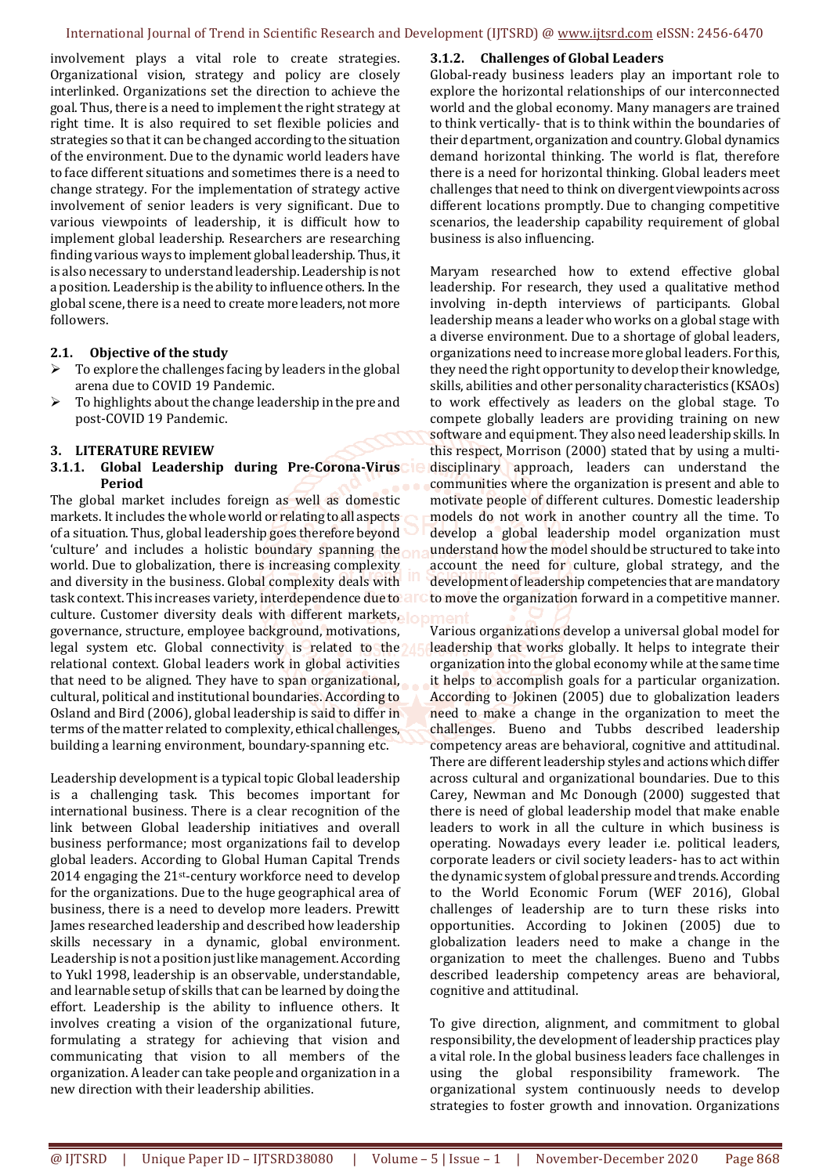involvement plays a vital role to create strategies. Organizational vision, strategy and policy are closely interlinked. Organizations set the direction to achieve the goal. Thus, there is a need to implement the right strategy at right time. It is also required to set flexible policies and strategies so that it can be changed according to the situation of the environment. Due to the dynamic world leaders have to face different situations and sometimes there is a need to change strategy. For the implementation of strategy active involvement of senior leaders is very significant. Due to various viewpoints of leadership, it is difficult how to implement global leadership. Researchers are researching finding various ways to implement global leadership. Thus, it is also necessary to understand leadership. Leadership is not a position. Leadership is the ability to influence others. In the global scene, there is a need to create more leaders, not more followers.

#### **2.1. Objective of the study**

- To explore the challenges facing by leaders in the global arena due to COVID 19 Pandemic.
- To highlights about the change leadership in the pre and post-COVID 19 Pandemic.

#### **3. LITERATURE REVIEW**

#### **3.1.1. Global Leadership during Pre-Corona-Virus Period**

The global market includes foreign as well as domestic markets. It includes the whole world or relating to all aspects of a situation. Thus, global leadership goes therefore beyond 'culture' and includes a holistic boundary spanning the world. Due to globalization, there is increasing complexity and diversity in the business. Global complexity deals with task context. This increases variety, interdependence due to all culture. Customer diversity deals with different markets, In governance, structure, employee background, motivations, legal system etc. Global connectivity is related to the relational context. Global leaders work in global activities that need to be aligned. They have to span organizational, cultural, political and institutional boundaries. According to Osland and Bird (2006), global leadership is said to differ in terms of the matter related to complexity, ethical challenges, building a learning environment, boundary-spanning etc.

Leadership development is a typical topic Global leadership is a challenging task. This becomes important for international business. There is a clear recognition of the link between Global leadership initiatives and overall business performance; most organizations fail to develop global leaders. According to Global Human Capital Trends 2014 engaging the 21st-century workforce need to develop for the organizations. Due to the huge geographical area of business, there is a need to develop more leaders. Prewitt James researched leadership and described how leadership skills necessary in a dynamic, global environment. Leadership is not a position just like management. According to Yukl 1998, leadership is an observable, understandable, and learnable setup of skills that can be learned by doing the effort. Leadership is the ability to influence others. It involves creating a vision of the organizational future, formulating a strategy for achieving that vision and communicating that vision to all members of the organization. A leader can take people and organization in a new direction with their leadership abilities.

#### **3.1.2. Challenges of Global Leaders**

Global-ready business leaders play an important role to explore the horizontal relationships of our interconnected world and the global economy. Many managers are trained to think vertically- that is to think within the boundaries of their department, organization and country. Global dynamics demand horizontal thinking. The world is flat, therefore there is a need for horizontal thinking. Global leaders meet challenges that need to think on divergent viewpoints across different locations promptly. Due to changing competitive scenarios, the leadership capability requirement of global business is also influencing.

Maryam researched how to extend effective global leadership. For research, they used a qualitative method involving in-depth interviews of participants. Global leadership means a leader who works on a global stage with a diverse environment. Due to a shortage of global leaders, organizations need to increase more global leaders. For this, they need the right opportunity to develop their knowledge, skills, abilities and other personality characteristics (KSAOs) to work effectively as leaders on the global stage. To compete globally leaders are providing training on new software and equipment. They also need leadership skills. In this respect, Morrison (2000) stated that by using a multidisciplinary approach, leaders can understand the communities where the organization is present and able to motivate people of different cultures. Domestic leadership models do not work in another country all the time. To develop a global leadership model organization must understand how the model should be structured to take into account the need for culture, global strategy, and the development of leadership competencies that are mandatory to move the organization forward in a competitive manner.

Various organizations develop a universal global model for leadership that works globally. It helps to integrate their organization into the global economy while at the same time it helps to accomplish goals for a particular organization. According to Jokinen (2005) due to globalization leaders need to make a change in the organization to meet the challenges. Bueno and Tubbs described leadership competency areas are behavioral, cognitive and attitudinal. There are different leadership styles and actions which differ across cultural and organizational boundaries. Due to this Carey, Newman and Mc Donough (2000) suggested that there is need of global leadership model that make enable leaders to work in all the culture in which business is operating. Nowadays every leader i.e. political leaders, corporate leaders or civil society leaders- has to act within the dynamic system of global pressure and trends. According to the World Economic Forum (WEF 2016), Global challenges of leadership are to turn these risks into opportunities. According to Jokinen (2005) due to globalization leaders need to make a change in the organization to meet the challenges. Bueno and Tubbs described leadership competency areas are behavioral, cognitive and attitudinal.

To give direction, alignment, and commitment to global responsibility, the development of leadership practices play a vital role. In the global business leaders face challenges in using the global responsibility framework. The organizational system continuously needs to develop strategies to foster growth and innovation. Organizations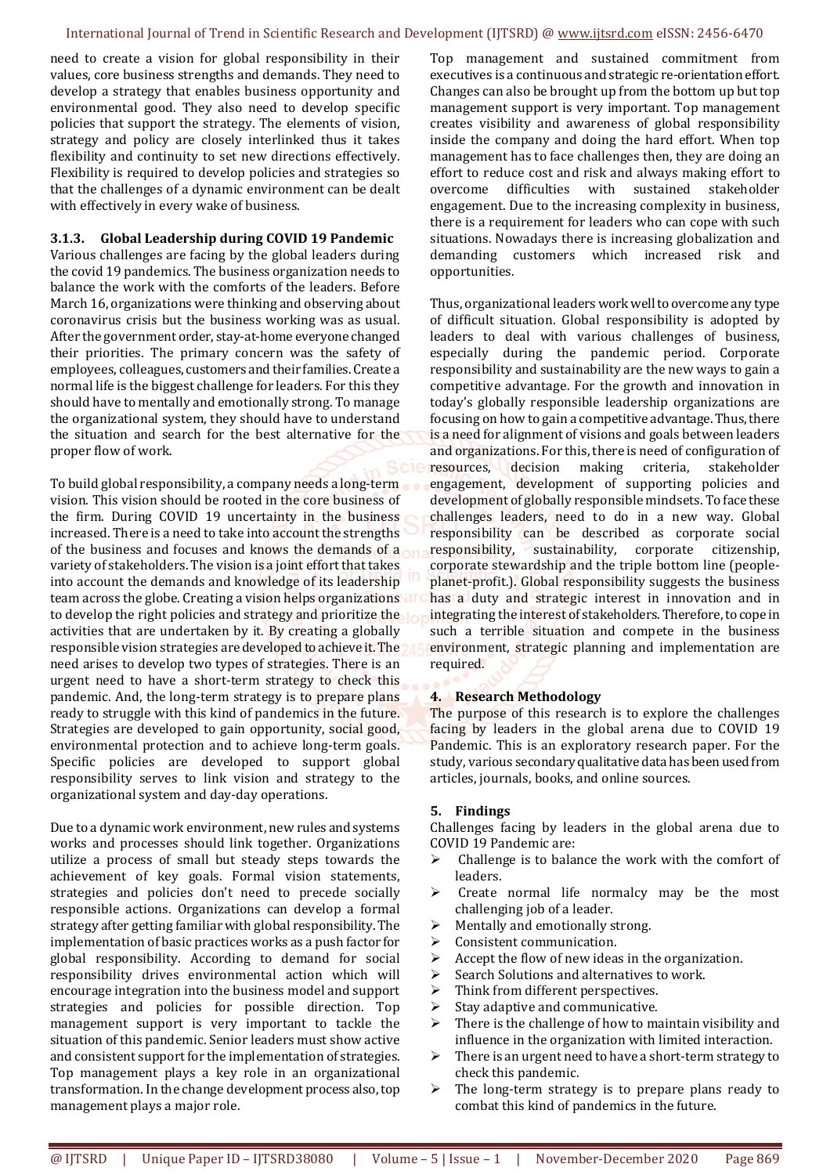need to create a vision for global responsibility in their values, core business strengths and demands. They need to develop a strategy that enables business opportunity and environmental good. They also need to develop specific policies that support the strategy. The elements of vision, strategy and policy are closely interlinked thus it takes flexibility and continuity to set new directions effectively. Flexibility is required to develop policies and strategies so that the challenges of a dynamic environment can be dealt with effectively in every wake of business.

#### **3.1.3. Global Leadership during COVID 19 Pandemic**

Various challenges are facing by the global leaders during the covid 19 pandemics. The business organization needs to balance the work with the comforts of the leaders. Before March 16, organizations were thinking and observing about coronavirus crisis but the business working was as usual. After the government order, stay-at-home everyone changed their priorities. The primary concern was the safety of employees, colleagues, customers and their families. Create a normal life is the biggest challenge for leaders. For this they should have to mentally and emotionally strong. To manage the organizational system, they should have to understand the situation and search for the best alternative for the proper flow of work.

To build global responsibility, a company needs a long-term vision. This vision should be rooted in the core business of the firm. During COVID 19 uncertainty in the business increased. There is a need to take into account the strengths of the business and focuses and knows the demands of a variety of stakeholders. The vision is a joint effort that takes into account the demands and knowledge of its leadership team across the globe. Creating a vision helps organizations to develop the right policies and strategy and prioritize the activities that are undertaken by it. By creating a globally responsible vision strategies are developed to achieve it. The need arises to develop two types of strategies. There is an urgent need to have a short-term strategy to check this pandemic. And, the long-term strategy is to prepare plans ready to struggle with this kind of pandemics in the future. Strategies are developed to gain opportunity, social good, environmental protection and to achieve long-term goals. Specific policies are developed to support global responsibility serves to link vision and strategy to the organizational system and day-day operations.

Due to a dynamic work environment, new rules and systems works and processes should link together. Organizations utilize a process of small but steady steps towards the achievement of key goals. Formal vision statements, strategies and policies don't need to precede socially responsible actions. Organizations can develop a formal strategy after getting familiar with global responsibility. The implementation of basic practices works as a push factor for global responsibility. According to demand for social responsibility drives environmental action which will encourage integration into the business model and support strategies and policies for possible direction. Top management support is very important to tackle the situation of this pandemic. Senior leaders must show active and consistent support for the implementation of strategies. Top management plays a key role in an organizational transformation. In the change development process also, top management plays a major role.

Top management and sustained commitment from executives is a continuous and strategic re-orientation effort. Changes can also be brought up from the bottom up but top management support is very important. Top management creates visibility and awareness of global responsibility inside the company and doing the hard effort. When top management has to face challenges then, they are doing an effort to reduce cost and risk and always making effort to overcome difficulties with sustained stakeholder engagement. Due to the increasing complexity in business, there is a requirement for leaders who can cope with such situations. Nowadays there is increasing globalization and demanding customers which increased risk and opportunities.

Thus, organizational leaders work well to overcome any type of difficult situation. Global responsibility is adopted by leaders to deal with various challenges of business, especially during the pandemic period. Corporate responsibility and sustainability are the new ways to gain a competitive advantage. For the growth and innovation in today's globally responsible leadership organizations are focusing on how to gain a competitive advantage. Thus, there is a need for alignment of visions and goals between leaders and organizations. For this, there is need of configuration of resources, decision making criteria, stakeholder engagement, development of supporting policies and development of globally responsible mindsets. To face these challenges leaders, need to do in a new way. Global responsibility can be described as corporate social responsibility, sustainability, corporate citizenship, corporate stewardship and the triple bottom line (peopleplanet-profit.). Global responsibility suggests the business has a duty and strategic interest in innovation and in integrating the interest of stakeholders. Therefore, to cope in such a terrible situation and compete in the business environment, strategic planning and implementation are required.

# **4. Research Methodology**

The purpose of this research is to explore the challenges facing by leaders in the global arena due to COVID 19 Pandemic. This is an exploratory research paper. For the study, various secondary qualitative data has been used from articles, journals, books, and online sources.

#### **5. Findings**

Challenges facing by leaders in the global arena due to COVID 19 Pandemic are:

- $\triangleright$  Challenge is to balance the work with the comfort of leaders.
- $\triangleright$  Create normal life normalcy may be the most challenging job of a leader.
- $\triangleright$  Mentally and emotionally strong.
- > Consistent communication.
- $\triangleright$  Accept the flow of new ideas in the organization.
- $\triangleright$  Search Solutions and alternatives to work.
- $\triangleright$  Think from different perspectives.
- $\triangleright$  Stay adaptive and communicative.
- $\triangleright$  There is the challenge of how to maintain visibility and influence in the organization with limited interaction.
- There is an urgent need to have a short-term strategy to check this pandemic.
- The long-term strategy is to prepare plans ready to combat this kind of pandemics in the future.